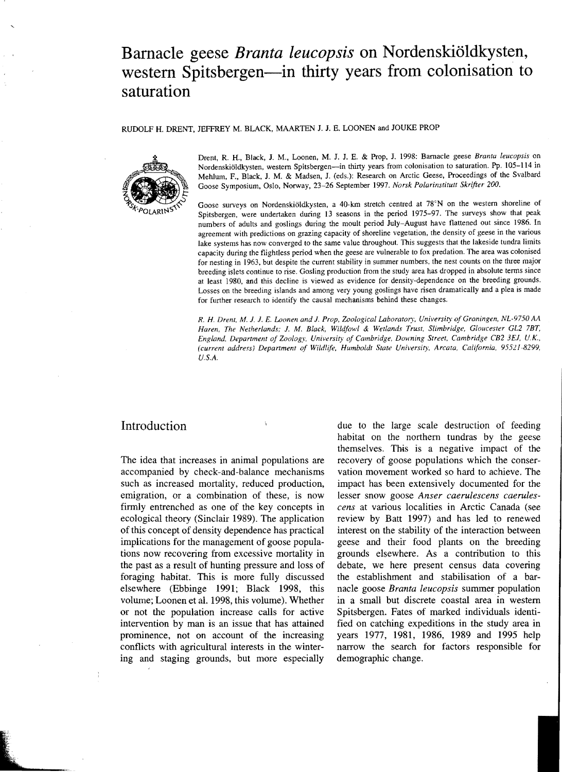# **Barnacle geese** *Branta leucopsis* **on Nordenskioldkysten,**  western Spitsbergen-in thirty years from colonisation to **saturation**

#### RUDOLF H. DRENT, JEFFREY M. BLACK, MAARTEN 1. J. E. LOONEN and JOUKE PROP



Drent, R. H., Black, J. M., Loonen, M. J. J. E. & Prop, J. 1998: Barnacle geese *Branta leucopsis* on Nordenskiöldkysten, western Spitsbergen-in thirty years from colonisation to saturation. Pp. 105-114 in Mehlum, F., Black, J. M. & Madsen, J. (eds.): Research on Arctic Geese, Proceedings of the Svalbard Goose Symposium, Oslo, Norway, 23-26 September 1997. *Norsk Polarinstitutt Skrifter 200.* 

Goose surveys on Nordenskiöldkysten, a 40-km stretch centred at 78°N on the western shoreline of Spitsbergen, were undertaken during 13 seasons in the period 1975-97. The surveys show that peak numbers of adults and goslings during the moult period July-August have flattened out since 1986. In agreement with predictions on grazing capacity of shoreline vegetation, the density of geese in the various lake systems has now converged to the same value throughout. This suggests that the lakeside tundra limits capacity during the flightless period when the geese are vulnerable to fox predation. The area was colonised for nesting in 1963, but despite the current stability in summer numbers. the nest counts on the three major breeding islets continue to rise. Gosling production from the study area has dropped in absolute tenus since at least 1980, and this decline is viewed as evidence for density-dependence on the breeding grounds. Losses on the breeding islands and among very young goslings have risen dramatically and a plea is made for further research to identify the causal mechanisms behind these changes,

*R. H Drent.* M. 1. J. *E. Loonen and* J. *Prop. Zoological Laboratory. University of Groningen. NL-9750 M Haren, The Netherlands;* J. M. *Black, Wildfowl* & *Wetlands Trust. Slimbridge. Gloucester GL2 7BT.*  England, Department of Zoology, University of Cambridge, Downing Street. Cambridge CB2 3EJ, U.K., (current address) Department of Wildlife, Humboldt State University, Arcata, California, 95521-8299, U.S.A.

# Introduction

The idea that increases in animal populations are accompanied by check-and-balance mechanisms such as increased mortality, reduced production, emigration, or a combination of these, is now firmly entrenched as one of the key concepts in ecological theory (Sinclair 1989). The application of this concept of density dependence has practical implications for the management of goose populations now recovering from excessive mortality in the past as a result of hunting pressure and loss of foraging habitat. This is more fully discussed elsewhere (Ebbinge 1991; Black 1998, this volume; Loonen et al. 1998, this volume). Whether or not the population increase calls for active intervention by man is an issue that has attained prominence, not on account of the increasing conflicts with agricultural interests in the wintering and staging grounds, but more especially due to the large scale destruction of feeding habitat on the northern tundras by the geese themselves. This is a negative impact of the recovery of goose populations which the conservation movement worked so hard to achieve. The impact has been extensively documented for the lesser snow goose Anser caerulescens caerules*cens* at various localities in Arctic Canada (see review by Batt 1997) and has led to renewed interest on the stability of the interaction between geese and their food plants on the breeding grounds elsewhere. As a contribution to this debate, we here present census data covering the establishment and stabilisation of a barnacle goose *Branta leucopsis* summer population in a small but discrete coastal area in western Spitsbergen. Fates of marked individuals identified on catching expeditions in the study area in years 1977, 1981, 1986, 1989 and 1995 help narrow the search for factors responsible for demographic change.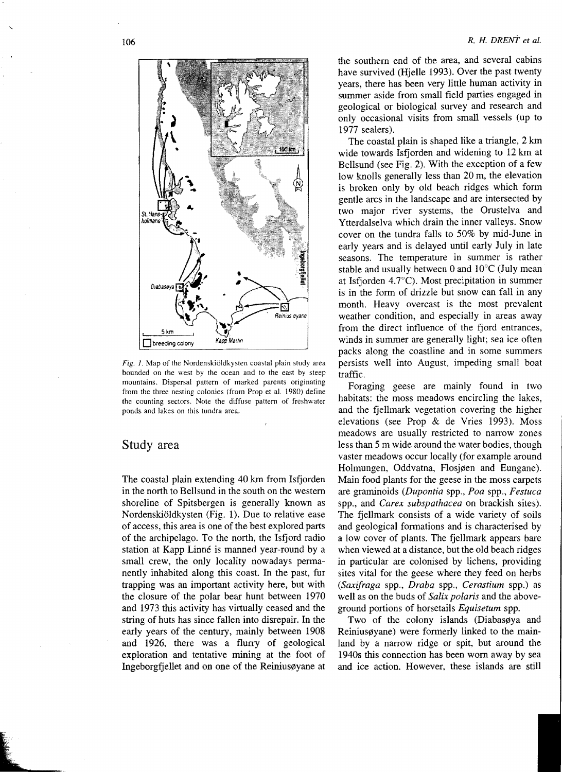

Fig. 1. Map of the Nordenskiöldkysten coastal plain study area bounded on the west by the ocean and to the east by steep mountains. Dispersal pattern of marked parents originating from the three nesting colonies (from Prop et al. 1980) define the counting sectors. Note the diffuse pattern of freshwater ponds and lakes on this tundra area.

#### Study area

The coastal plain extending 40 km from Isfjorden in the north to Bellsund in the south on the western shoreline of Spitsbergen is generally known as Nordenskioldkysten (Fig. 1). Due to relative ease of access, this area is one of the best explored parts of the archipelago. To the north, the Isfjord radio station at Kapp Linné is manned year-round by a small crew, the only locality nowadays permanently inhabited along this coast. In the past, fur trapping was an important activity here, but with the closure of the polar bear hunt between 1970 and 1973 this activity has virtually ceased and the string of huts has since fallen into disrepair. In the early years of the century, mainly between 1908 and 1926, there was a flurry of geological exploration and tentative mining at the foot of Ingeborgfjellet and on one of the Reinius gyane at

the southern end of the area, and several cabins have survived (Hjelle 1993). Over the past twenty years, there has been very little human activity in summer aside from small field parties engaged in geological or biological survey and research and only occasional visits from small vessels (up to 1977 sealers).

The coastal plain is shaped like a triangle,  $2 \text{ km}$ wide towards Isfjorden and widening to 12 km at Bellsund (see Fig. 2). With the exception of a few low knolls generally less than 20 m, the elevation is broken only by old beach ridges which form gentle arcs in the landscape and are intersected by two major river systems, the Orustelva and Ytterdalselva which drain the inner valleys. Snow cover on the tundra falls to 50% by mid-June in early years and is delayed until early July in late seasons. The temperature in summer is rather stable and usually between  $0$  and  $10^{\circ}$ C (July mean at Isfjorden  $4.7^{\circ}$ C). Most precipitation in summer is in the form of drizzle but snow can fall in any month. Heavy overcast is the most prevalent weather condition, and especially in areas away from the direct influence of the fjord entrances, winds in summer are generally light; sea ice often packs along the coastline and in some summers persists well into August, impeding small boat traffic.

Foraging geese are mainly found in two habitats: the moss meadows encircling the lakes, and the fjellmark vegetation covering the higher elevations (see Prop & de Vries 1993). Moss meadows are usually restricted to narrow zones less than 5 m wide around the water bodies, though vaster meadows occur locally (for example around Holmungen, Oddvatna, Flosjøen and Eungane). Main food plants for the geese in the moss carpets are graminoids *(Dupontia* spp., *Poa* spp., *Festuca*  spp., and *Carex subspathacea* on brackish sites), The fjellmark consists of a wide variety of soils and geological formations and is characterised by a low cover of plants. The fjellmark appears bare when viewed at a distance, but the old beach ridges in particular are colonised by lichens, providing sites vital for the geese where they feed on herbs *(Saxifraga* spp., *Draba* spp., *Cerastium* spp.) as well as on the buds of *Salix polaris* and the aboveground portions of horsetails *Equisetum* spp.

Two of the colony islands (Diabasøya and Reiniusøyane) were formerly linked to the mainland by a narrow ridge or spit, but around the 1940s this connection has been worn away by sea and ice action. However, these islands are still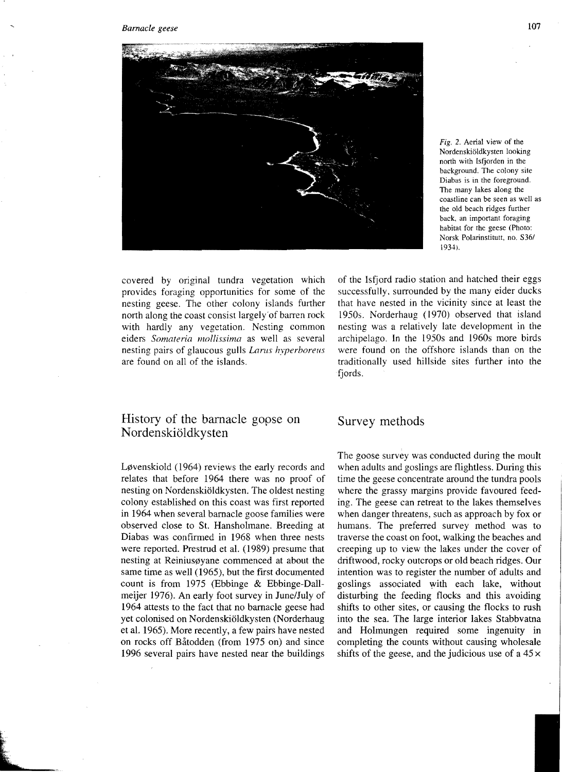

Fig. 2. Aerial view of the Nordenski61dkysten looking north with lsfjorden in the background. The colony site Diabas is in the foreground. The many lakes along the coastline can be seen as well as the old beach ridges further back, an important foraging habitat for the geese (Photo: Norsk Polarinstitutt. no. *S361*  1934).

covered by original tundra vegetation which provides foraging opportunities for some of the nesting geese. The other colony islands further north along the coast consist largely"of barren rock with hardly any vegetation. Nesting common eiders *Somateria mollissima* as well as several nesting pairs of glaucous gulls *Larus hyperboreus* are found on all of the islands.

# History of the barnacle gopse on Nordenskiöldkysten

Løvenskiold (1964) reviews the early records and relates that before 1964 there was no proof of nesting on Nordenskiöldkysten. The oldest nesting colony established on this coast was first reported in 1964 when several barnacle goose families were observed close to St. Hansholmane. Breeding at Diabas was confirmed in 1968 when three nests were reported. Prestrud et al. (1989) presume that nesting at Reiniusøyane commenced at about the same time as well (1965), but the first documented count is from 1975 (Ebbinge & Ebbinge-Dallmeijer 1976). An early foot survey in June/July of 1964 attests to the fact that no barnacle geese had yet colonised on Nordenskioldkysten (Norderhaug et al. 1965). More recently, a few pairs have nested on rocks off Batodden (from 1975 on) and since 1996 several pairs have nested near the buildings

of the Isfjord radio station and hatched their eggs successfully, surrounded by the many eider ducks that have nested in the vicinity since at least the 1950s. Norderhaug (1970) observed that island nesting was a relatively late development in the archipelago. In the 1950s and 1960s more birds were found on the offshore islands than on the traditionally used hillside sites further into the fjords.

# Survey methods

The goose survey was conducted during the moult when adults and goslings are flightless. During this time the geese concentrate around the tundra pools where the grassy margins provide favoured feeding. The geese can retreat to the lakes themselves when danger threatens, such as approach by fox or humans. The preferred survey method was to traverse the coast on foot, walking the beaches and creeping up to view the lakes under the cover of driftwood, rocky outcrops or old beach ridges. Our intention was to register the number of adults and goslings associated with each lake, without disturbing the feeding flocks and this avoiding shifts to other sites, or causing the flocks to rush into the sea. The large interior lakes Stabbvatna and Holmungen required some ingenuity in completing the counts without causing wholesale shifts of the geese, and the judicious use of a  $45 \times$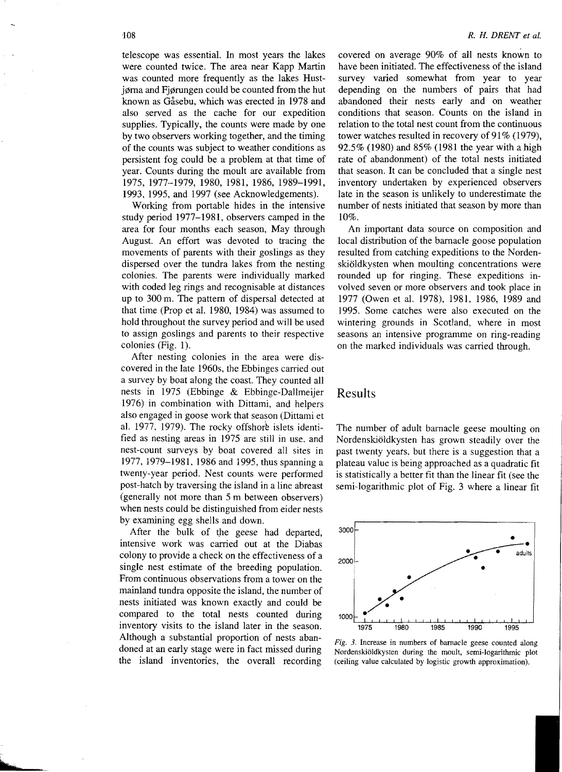telescope was essential. In most years the lakes were counted twice. The area near Kapp Martin was counted more frequently as the lakes Hustjørna and Fjørungen could be counted from the hut known as Gåsebu, which was erected in 1978 and also served as the cache for our expedition supplies. Typically, the counts were made by one by two observers working together, and the timing of the counts was subject to weather conditions as persistent fog could be a problem at that time of year. Counts during the moult are available from 1975, 1977-1979, 1980, 1981, 1986, 1989-1991, 1993, 1995, and 1997 (see Acknowledgements).

Working from portable hides in the intensive study period 1977-1981, observers carnped in the area for four months each season, May through August. An effort was devoted to tracing the movements of parents with their goslings as they dispersed over the tundra lakes from the nesting colonies. The parents were individually marked with coded leg rings and recognisable at distances up to 300 m. The pattern of dispersal detected at that time (Prop et al. 1980, 1984) was assumed to hold throughout the survey period and will be used to assign goslings and parents to their respective colonies (Fig. 1).

After nesting colonies in the area were discovered in the late 1960s, the Ebbinges carried out a survey by boat along the coast. They counted all nests in 1975 (Ebbinge & Ebbinge-Dallmeijer 1976) in combination with Dittami, and helpers also engaged in goose work that season (Dittami et al. 1977, 1979). The rocky offshore islets identified as nesting areas in 1975 are still in use. and nest-count surveys by boat covered all sites in 1977, 1979-1981, 1986 and 1995, thus spanning a twenty-year period. Nest counts were performed post-hatch by traversing the island in a line abreast (generally not more than 5 m between observers) when nests could be distinguished from eider nests by examining egg shells and down.

After the bulk of the geese had departed, intensive work was carried out at the Diabas colony to provide a check on the effectiveness of a single nest estimate of the breeding population. From continuous observations from a tower on the mainland tundra opposite the island, the number of nests initiated was known exactly and could be compared to the total nests counted during inventory visits to the island later in the season. Although a substantial proportion of nests abandoned at an early stage were in fact missed during the island inventories, the overall recording

covered on average 90% of all nests known to have been initiated. The effectiveness of the island survey varied somewhat from year to year depending on the numbers of pairs that had abandoned their nests early and on weather conditions that season. Counts on the island in relation to the total nest count from the continuous tower watches resulted in recovery of  $91\%$  (1979), 92.5% (1980) and 85% (1981 the year with a high rate of abandonment) of the total nests initiated that season. It can be concluded that a single nest inventory undertaken by experienced observers late in the season is unlikely to underestimate the number of nests initiated that season by more than 10%.

An important data source on composition and local distribution of the barnacle goose population resulted from catching expeditions to the Nordenskioldkysten when moulting concentrations were rounded up for ringing. These expeditions involved seven or more observers and took place in 1977 (Owen et al. 1978), 1981, 1986, 1989 and 1995. Some catches were also executed on the wintering grounds in Scotland, where in most seasons an intensive programme on ring-reading on the marked individuals was carried through.

# Results

The number of adult barnacle geese moulting on Nordenskiöldkysten has grown steadily over the past twenty yeats. but there is a suggestion that a plateau value is being approached as a quadratic fit is statistically a better fit than the linear fit (see the semi-logarithmic plot of Fig. 3 where a linear fit



Fig. 3. Increase in numbers of barnacle geese counted along Nordenskioldkysten during the moult, semi-logarithmic plot (ceiling value calculated by logistic growth approximation).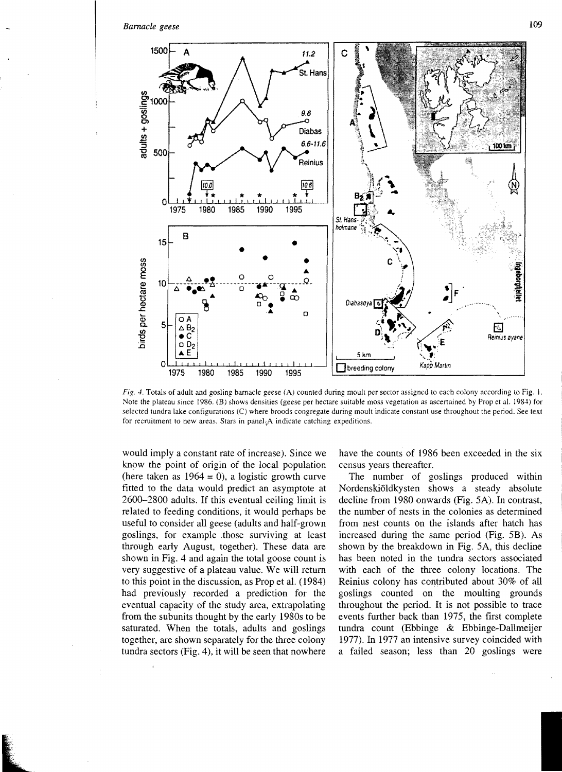

Fig. 4. Totals of adult and gosling barnacle geese (A) counted during moult per sector assigned to each colony according to Fig. I. Note the plateau since 1986. (B) shows densities (geese per hectare suitable moss vegetation as ascertained by Prop et al. 1984) for selected tundra lake configurations (C) where broods congregate during moult indicate constant use throughout the period. See text for recruitment to new areas. Stars in panel $_{4}A$  indicate catching expeditions.

would imply a constant rate of increase). Since we know the point of origin of the local population (here taken as  $1964 = 0$ ), a logistic growth curve fitted to the data would predict an asymptote at 2600-2800 adults. If this eventual ceiling limit is related to feeding conditions. it would perhaps be useful to consider all geese (adults and half-grown goslings, for example :those surviving at least through early August, together). These data are shown in Fig. 4 and again the total goose count is very suggestive of a plateau value. We will return to this point in the discussion, as Prop et al. (1984) had previously recorded a prediction for the eventual capacity of the study area, extrapolating from the subunits thought by the early 1980s to be saturated. When the totals, adults and goslings together, are shown separately for the three colony tundra sectors (Fig. 4), it will be seen that nowhere

have the counts of 1986 been exceeded in the six census years thereafter.

The number of goslings produced within Nordenskioldkysten shows a steady absolute decline from 1980 onwards (Fig. 5A). In contrast, the number of nests in the colonies as determined from nest counts on the islands after hatch has increased during the same period (Fig. 5B). As shown by the breakdown in Fig. 5A, this decline has been noted in the tundra sectors associated with each of the three colony locations. The Reinius colony has contributed about 30% of all goslings counted on the moulting grounds throughout the period. It is not possible to trace events further back than 1975, the first complete tundra count (Ebbinge & Ebbinge-Dallmeijer 1977). In 1977 an intensive survey coincided with a failed season; less than 20 goslings were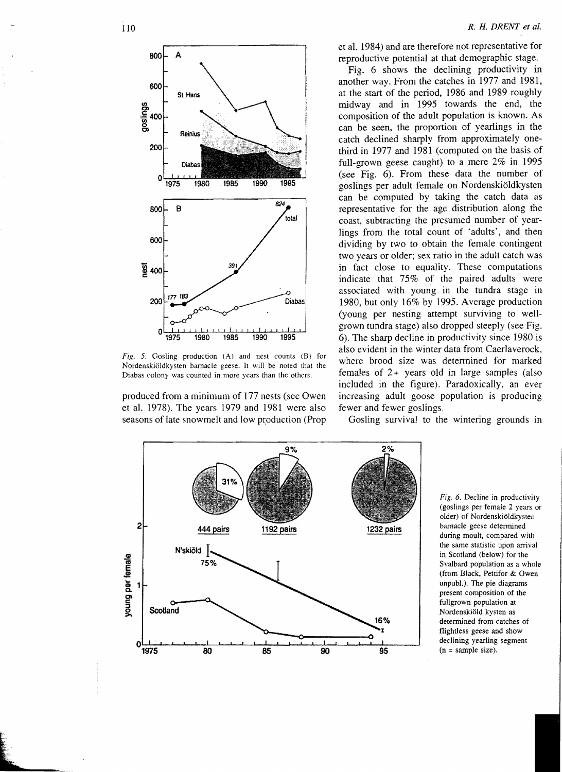

Fig. 5. Gosling production (A) and nest counts (8) for Nordenskiöldkysten barnacle geese. It will be noted that the Diabas colony was counted in more years Ihan the others.

produced from a minimum of 177 nests (see Owen et al. 1978). The years 1979 and 1981 were also seasons of late snowmelt and low production (Prop et al. 1984) and are therefore not representative for reproductive potential at that demographic stage.

Fig. 6 shows the declining productivity in another way. From the catches in 1977 and 1981, at the start of the period, 1986 and 1989 roughly midway and in 1995 towards the end, the composition of the adult population is known. As can be seen, the proportion of yearlings in the catch declined sharply from approximately onethird in 1977 and 1981 (computed on the basis of full-grown geese caught) to a mere 2% in 1995 (see Fig. 6). From these data the number of goslings per adult female on Nordenskioldkysten can be computed by taking the catch data as representative for the age distribution along the coast, subtracting the presumed number of yearlings from the total count of 'adults', and then dividing by two to obtain the female contingent two years or older; sex ratio in the adult catch was in fact close to equality. These computations indicate that 75% of the paired adults were associated with young in the tundra stage in 1980, but only 16% by 1995. Average production (young per nesting attempt surviving to wellgrown tundra stage) also dropped steeply (see Fig. 6). The sharp decline in productivity since 1980 is also evident in the winter data from Caerlaverock. where brood size was determined for marked females of 2+ years old in large samples (also included in the figure). Paradoxically. an ever increasing adult goose population is producing fewer and fewer goslings.



Gosling survival to the wintering grounds in

determined from catches of flightless geese and show declining yearling segment Fig. 6. Decline in productivity (goslings per female 2 years or older) of Nordenskiöldkysten 1232 pairs barnacle geese determined<br>during moult, compared with the same statistic upon arrival in Scotland (below) for the Svalbard population as a whole (from Black, Pettifor & Owen unpubL). The pie diagrams present composition of the fullgrown population at Nordenskiold kysten as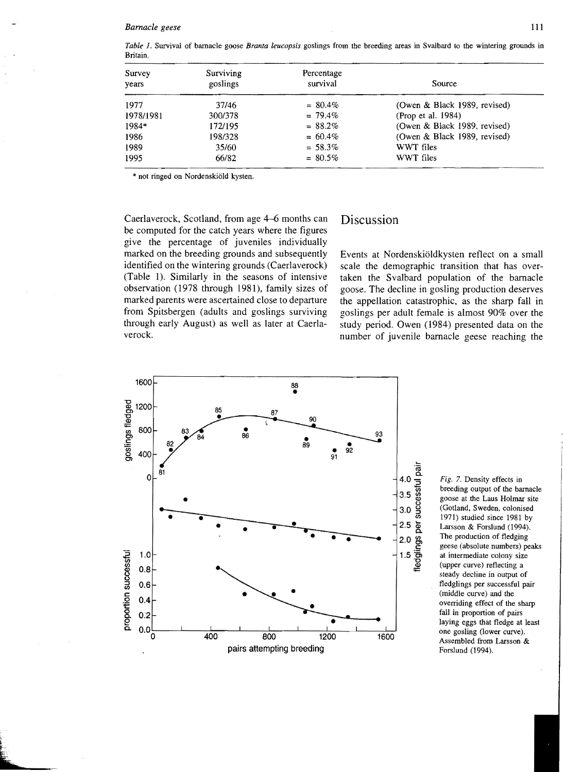Survey Surviving Percentage years survival survival survival survival source 1977 1978/1981 1984\* 1986 1989 1995 *37/46 300/378*  1721195 *198/328*  35160 66/82 = 80.4%  $= 79.4%$  $= 88.2%$  $=60.4%$  $= 58.3%$  $= 80.5%$ (Owen & Black 1989, revised) (Prop et aI. 1984) (Owen & Black 1989, revised) (Owen & Black 1989, revised) WWT files WWT files

*Table* 1. Survival of barnacle goose *Branta leucopsis* goslings from the breeding areas in Svalbard to the wintering grounds in Britain.

\* not ringed on Nordenskiold kysten.

Caerlaverock, Scotland, from age 4-6 months can be computed for the catch years where the figures give the percentage of juveniles individually marked on the breeding grounds and subsequently identified on the wintering grounds (Caerlaverock) (Table 1). Similarly in the seasons of intensive observation (1978 through 1981), family sizes of marked parents were ascertained close to departure from Spitsbergen (adults and goslings surviving through early August) as well as later at Caerlaverock.

# Discussion

Events at Nordenskiöldkysten reflect on a small scale the demographic transition that has overtaken the Svalbard population of the barnacle goose. The decline in gosling production deserves the appellation catastrophic, as the sharp fall in goslings per adult female is almost 90% over the study period. Owen (1984) presented data on the number of juvenile barnacle geese reaching the



Fig. 7. Density effects in breeding output of the barnacle goose at the Laus Holmar site (Gotland, Sweden, colonised 1971) studied since 1981 by Larsson & Forslund (1994). The production of fledging geese (absolute numbers) peaks at intermediate colony size (upper curve) retlecting a steady decline in output of tledglings per successful pair (middle curve) and the overriding effect of the sharp fall in proportion of pairs laying eggs that fledge at least one gosling (lower curve). Assembled from Larsson & Forslund (1994).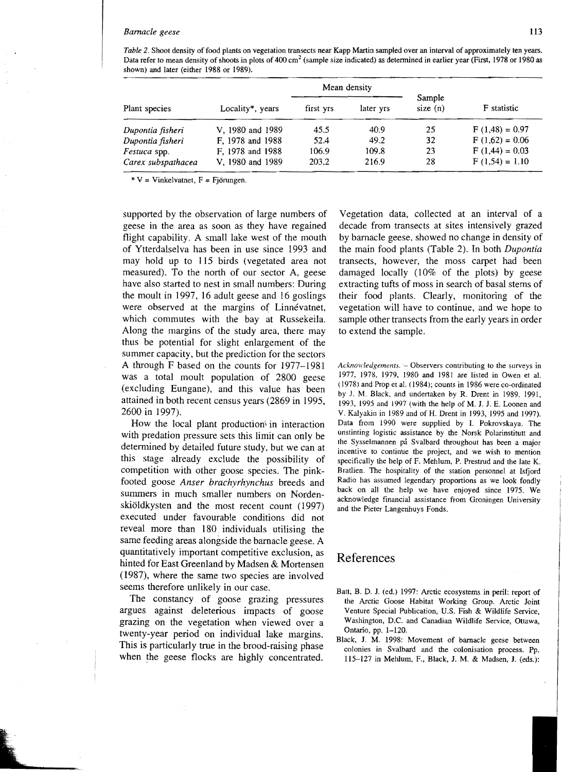*Table* 2. Shoot density of food plants on vegetation transects near Kapp Martin sampled over an interval of approximately ten years. Data refer to mean density of shoots in plots of 400 cm<sup>2</sup> (sample size indicated) as determined in earlier year (First, 1978 or 1980 as shown) and later (either 1988 or 1989).

| Plant species       |                  | Mean density |           |                      |                    |
|---------------------|------------------|--------------|-----------|----------------------|--------------------|
|                     | Locality*, years | first yrs    | later yrs | Sample<br>size $(n)$ | <b>F</b> statistic |
| Dupontia fisheri    | V, 1980 and 1989 | 45.5         | 40.9      | 25                   | $F(1,48) = 0.97$   |
| Dupontia fisheri    | F, 1978 and 1988 | 52.4         | 49.2      | 32                   | $F(1,62) = 0.06$   |
| <i>Festuca</i> spp. | F, 1978 and 1988 | 106.9        | 109.8     | 23                   | $F(1,44) = 0.03$   |
| Carex subspathacea  | V, 1980 and 1989 | 203.2        | 216.9     | 28                   | $F(1,54) = 1.10$   |

 $*V = Vinkelvatnet, F = Fjörungen.$ 

supported by the observation of large numbers of geese in the area as soon as they have regained flight capability. A small lake west of the mouth of Ytterdalselva has been in use since 1993 and may hold up to 115 birds (vegetated area not measured). To the north of our sector A, geese have also started to nest in small numbers: During the moult in 1997, 16 adult geese and 16 goslings were observed at the margins of Linnévatnet, which commutes with the bay at Russekeila. Along the margins of the study area, there may thus be potential for slight enlargement of the summer capacity, but the prediction for the sectors A through F based on the counts for 1977-1981 was a total moult population of 2800 geese (excluding Eungane), and this value has been attained in both recent census years (2869 in 1995, 2600 in 1997).

How the local plant production $\frac{1}{2}$  in interaction with predation pressure sets this limit can only be determined by detailed future study, but we can at this stage already exclude the possibility of competition with other goose species. The pinkfooted goose *Anser brachyrhynchus* breeds and summers in much smaller numbers on Nordenskioldkysten and the most recent count (1997) executed under favourable conditions did not reveal more than 180 individuals utilising the same feeding areas alongside the barnacle geese. A quantitatively important competitive exclusion, as hinted for East Greenland by Madsen & Mortensen (1987), where the same two species are involved seems therefore unlikely in our case.

The constancy of goose grazing pressures argues against deleterious impacts of goose grazing on the vegetation when viewed over a twenty-year period on individual lake margins. This is particularly true in the brood-raising phase when the geese flocks are highly concentrated.

Vegetation data, collected at an interval of a decade from transects at sites intensively grazed by barnacle geese, showed no change in density of the main food plants (Table 2). In both *Dupontia*  transects, however, the moss carpet had been damaged locally (10% of the plots) by geese extracting tufts of moss in search of basal stems of their food plants. Clearly, monitoring of the vegetation will have to continue, and we hope to sample other transects from the early years in order to extend the sample.

Acknowledgements. - Observers contributing to the surveys in 1977. 1978. 1979. 1980 and 1981 are listed in Owen et aI. (1978) and Prop et al. (1984); counts in 1986 were co-ordinated by J. M. Black. and undertaken by R. Drent in 1989. 1991, 1993, 1995 and 1997 (with the help of M. J. J. E. Loonen and V. Kalyakin in 1989 and of H. Drent in 1993, 1995 and 1997). Data from 1990 were supplied by 1. Pokrovskaya. The unstinting logistic assistance by the Norsk Polarinstitutt and the Sysselmannen pa Svalbard throughout has been a major incentive to continue the project, and we wish to mention specifically the help of F. Mehlum, P. Prestrud and the late K. Bratlien. The hospitality of the station personnel at Isfjord Radio has assumed legendary proportions as we look fondly back on all the help we have enjoyed since 1975. We acknowledge financial assistance from Groningen University and the Pieter Langenhuys Fonds.

# References

- Batt, B. D. 1. (ed.) 1997: Arctic ecosystems in peril: report of the Arctic Goose Habitat Working Group. Arctic Joint Venture Special Publication, U.S. Fish & Wildlife Service, Washington, D.C. and Canadian Wildlife Service, Ottawa, Ontario, pp. 1-120.
- Black, J. M. 1998: Movement of barnacle geese between colonies in Svalbard and the colonisation process. Pp. 115-127 in Mehlum, F., Black, J. M. & Madsen, 1. (eds.):